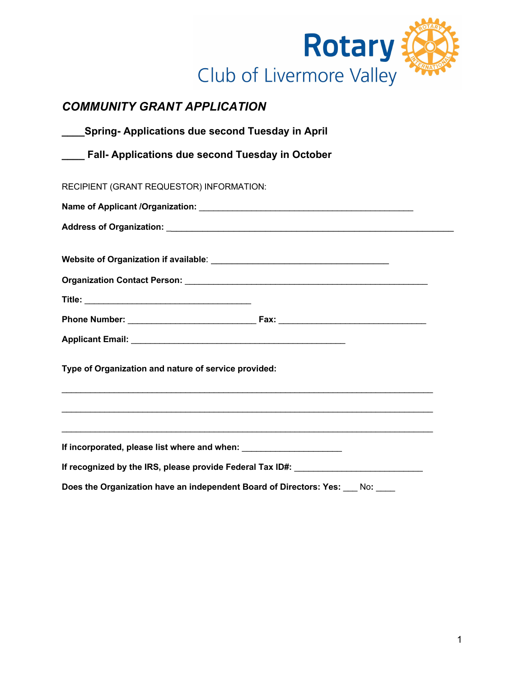

## *COMMUNITY GRANT APPLICATION*

| <b>Spring- Applications due second Tuesday in April</b>                          |                                                                                                               |  |
|----------------------------------------------------------------------------------|---------------------------------------------------------------------------------------------------------------|--|
| Fall- Applications due second Tuesday in October                                 |                                                                                                               |  |
| RECIPIENT (GRANT REQUESTOR) INFORMATION:                                         |                                                                                                               |  |
|                                                                                  |                                                                                                               |  |
|                                                                                  |                                                                                                               |  |
|                                                                                  |                                                                                                               |  |
|                                                                                  |                                                                                                               |  |
|                                                                                  |                                                                                                               |  |
|                                                                                  |                                                                                                               |  |
| Type of Organization and nature of service provided:                             |                                                                                                               |  |
|                                                                                  | a se provincia de la construcción de la construcción de la construcción de la construcción de la construcción |  |
| If incorporated, please list where and when: ___________________________________ |                                                                                                               |  |
|                                                                                  | If recognized by the IRS, please provide Federal Tax ID#:                                                     |  |
| Does the Organization have an independent Board of Directors: Yes:               | No:                                                                                                           |  |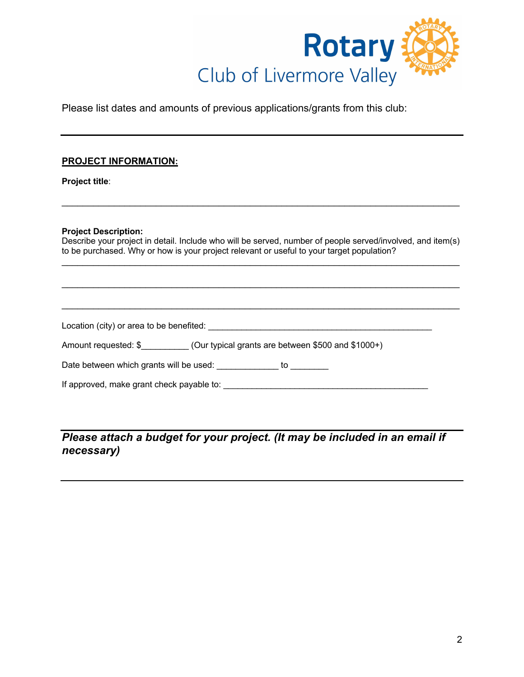

Please list dates and amounts of previous applications/grants from this club:

## **PROJECT INFORMATION:**

**Project title**:

## **Project Description:**

Describe your project in detail. Include who will be served, number of people served/involved, and item(s) to be purchased. Why or how is your project relevant or useful to your target population?  $\_$ 

 $\_$ 

 $\_$ 

 $\_$ 

Location (city) or area to be benefited: \_\_\_\_\_\_\_\_\_\_\_\_\_\_\_\_\_\_\_\_\_\_\_\_\_\_\_\_\_\_\_\_\_\_\_\_\_\_\_\_\_\_\_\_\_\_\_

Amount requested: \$\_\_\_\_\_\_\_\_\_\_ (Our typical grants are between \$500 and \$1000+)

Date between which grants will be used: \_\_\_\_\_\_\_\_\_\_\_\_\_ to \_\_\_\_\_\_\_\_\_

If approved, make grant check payable to: \_\_\_\_\_\_\_\_\_\_\_\_\_\_\_\_\_\_\_\_\_\_\_\_\_\_\_\_\_\_\_\_\_\_\_\_\_\_\_\_\_\_\_

*Please attach a budget for your project. (It may be included in an email if necessary)*